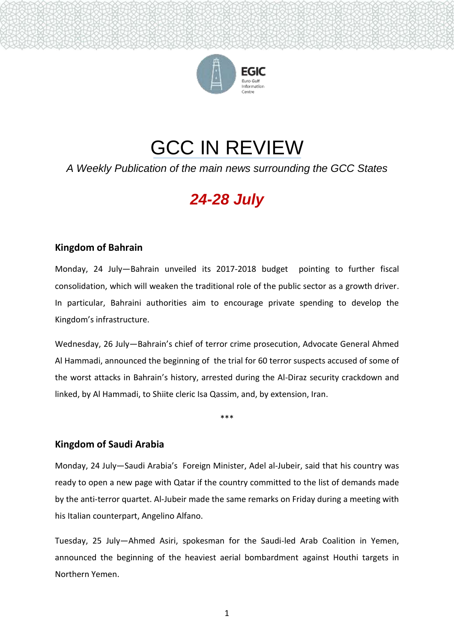

# GCC IN REVIEW

*A Weekly Publication of the main news surrounding the GCC States*

# *24-28 July*

## **Kingdom of Bahrain**

Monday, 24 July—Bahrain unveiled its 2017-2018 budget pointing to further fiscal consolidation, which will weaken the traditional role of the public sector as a growth driver. In particular, Bahraini authorities aim to encourage private spending to develop the Kingdom's infrastructure.

Wednesday, 26 July—Bahrain's chief of terror crime prosecution, Advocate General Ahmed Al Hammadi, announced the beginning of the trial for 60 terror suspects accused of some of the worst attacks in Bahrain's history, arrested during the Al-Diraz security crackdown and linked, by Al Hammadi, to Shiite cleric Isa Qassim, and, by extension, Iran.

\*\*\*

### **Kingdom of Saudi Arabia**

Monday, 24 July—Saudi Arabia's Foreign Minister, Adel al-Jubeir, said that his country was ready to open a new page with Qatar if the country committed to the list of demands made by the anti-terror quartet. Al-Jubeir made the same remarks on Friday during a meeting with his Italian counterpart, Angelino Alfano.

Tuesday, 25 July—Ahmed Asiri, spokesman for the Saudi-led Arab Coalition in Yemen, announced the beginning of the heaviest aerial bombardment against Houthi targets in Northern Yemen.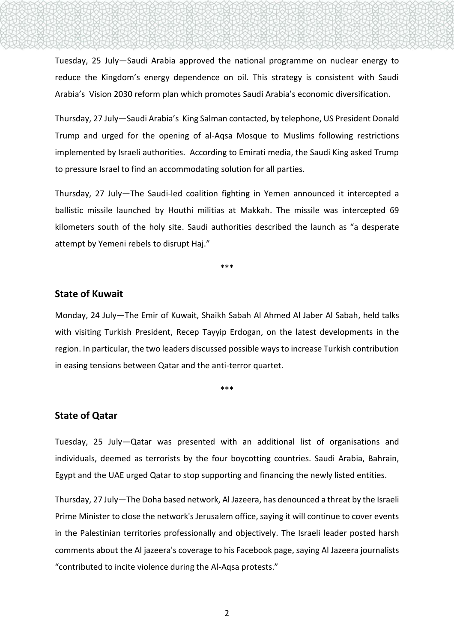Tuesday, 25 July—Saudi Arabia approved the national programme on nuclear energy to reduce the Kingdom's energy dependence on oil. This strategy is consistent with Saudi Arabia's Vision 2030 reform plan which promotes Saudi Arabia's economic diversification.

Thursday, 27 July—Saudi Arabia's King Salman contacted, by telephone, US President Donald Trump and urged for the opening of al-Aqsa Mosque to Muslims following restrictions implemented by Israeli authorities. According to Emirati media, the Saudi King asked Trump to pressure Israel to find an accommodating solution for all parties.

Thursday, 27 July—The Saudi-led coalition fighting in Yemen announced it intercepted a ballistic missile launched by Houthi militias at Makkah. The missile was intercepted 69 kilometers south of the holy site. Saudi authorities described the launch as "a desperate attempt by Yemeni rebels to disrupt Haj."

\*\*\*

#### **State of Kuwait**

Monday, 24 July—The Emir of Kuwait, Shaikh Sabah Al Ahmed Al Jaber Al Sabah, held talks with visiting Turkish President, Recep Tayyip Erdogan, on the latest developments in the region. In particular, the two leaders discussed possible ways to increase Turkish contribution in easing tensions between Qatar and the anti-terror quartet.

\*\*\*

#### **State of Qatar**

Tuesday, 25 July—Qatar was presented with an additional list of organisations and individuals, deemed as terrorists by the four boycotting countries. Saudi Arabia, Bahrain, Egypt and the UAE urged Qatar to stop supporting and financing the newly listed entities.

Thursday, 27 July—The Doha based network, Al Jazeera, has denounced a threat by the Israeli Prime Minister to close the network's Jerusalem office, saying it will continue to cover events in the Palestinian territories professionally and objectively. The Israeli leader posted harsh comments about the Al jazeera's coverage to his Facebook page, saying Al Jazeera journalists "contributed to incite violence during the Al-Aqsa protests."

2